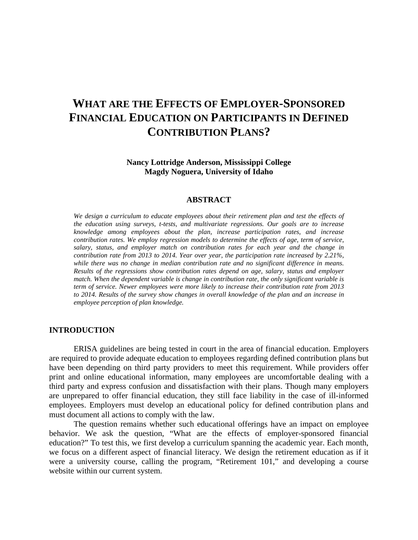# **WHAT ARE THE EFFECTS OF EMPLOYER-SPONSORED FINANCIAL EDUCATION ON PARTICIPANTS IN DEFINED CONTRIBUTION PLANS?**

**Nancy Lottridge Anderson, Mississippi College Magdy Noguera, University of Idaho** 

#### **ABSTRACT**

*We design a curriculum to educate employees about their retirement plan and test the effects of the education using surveys, t-tests, and multivariate regressions. Our goals are to increase knowledge among employees about the plan, increase participation rates, and increase contribution rates. We employ regression models to determine the effects of age, term of service, salary, status, and employer match on contribution rates for each year and the change in contribution rate from 2013 to 2014. Year over year, the participation rate increased by 2.21%, while there was no change in median contribution rate and no significant difference in means. Results of the regressions show contribution rates depend on age, salary, status and employer match. When the dependent variable is change in contribution rate, the only significant variable is term of service. Newer employees were more likely to increase their contribution rate from 2013 to 2014. Results of the survey show changes in overall knowledge of the plan and an increase in employee perception of plan knowledge.* 

# **INTRODUCTION**

ERISA guidelines are being tested in court in the area of financial education. Employers are required to provide adequate education to employees regarding defined contribution plans but have been depending on third party providers to meet this requirement. While providers offer print and online educational information, many employees are uncomfortable dealing with a third party and express confusion and dissatisfaction with their plans. Though many employers are unprepared to offer financial education, they still face liability in the case of ill-informed employees. Employers must develop an educational policy for defined contribution plans and must document all actions to comply with the law.

The question remains whether such educational offerings have an impact on employee behavior. We ask the question, "What are the effects of employer-sponsored financial education?" To test this, we first develop a curriculum spanning the academic year. Each month, we focus on a different aspect of financial literacy. We design the retirement education as if it were a university course, calling the program, "Retirement 101," and developing a course website within our current system.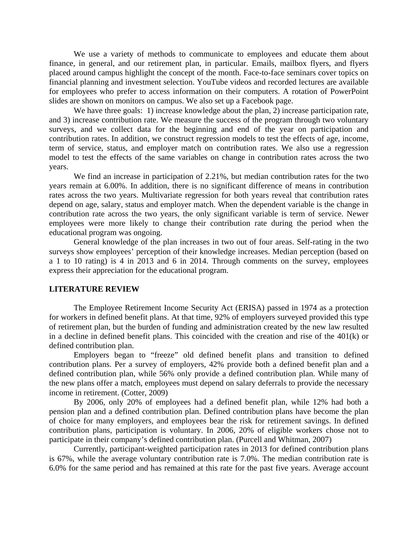We use a variety of methods to communicate to employees and educate them about finance, in general, and our retirement plan, in particular. Emails, mailbox flyers, and flyers placed around campus highlight the concept of the month. Face-to-face seminars cover topics on financial planning and investment selection. YouTube videos and recorded lectures are available for employees who prefer to access information on their computers. A rotation of PowerPoint slides are shown on monitors on campus. We also set up a Facebook page.

We have three goals: 1) increase knowledge about the plan, 2) increase participation rate, and 3) increase contribution rate. We measure the success of the program through two voluntary surveys, and we collect data for the beginning and end of the year on participation and contribution rates. In addition, we construct regression models to test the effects of age, income, term of service, status, and employer match on contribution rates. We also use a regression model to test the effects of the same variables on change in contribution rates across the two years.

We find an increase in participation of 2.21%, but median contribution rates for the two years remain at 6.00%. In addition, there is no significant difference of means in contribution rates across the two years. Multivariate regression for both years reveal that contribution rates depend on age, salary, status and employer match. When the dependent variable is the change in contribution rate across the two years, the only significant variable is term of service. Newer employees were more likely to change their contribution rate during the period when the educational program was ongoing.

General knowledge of the plan increases in two out of four areas. Self-rating in the two surveys show employees' perception of their knowledge increases. Median perception (based on a 1 to 10 rating) is 4 in 2013 and 6 in 2014. Through comments on the survey, employees express their appreciation for the educational program.

#### **LITERATURE REVIEW**

The Employee Retirement Income Security Act (ERISA) passed in 1974 as a protection for workers in defined benefit plans. At that time, 92% of employers surveyed provided this type of retirement plan, but the burden of funding and administration created by the new law resulted in a decline in defined benefit plans. This coincided with the creation and rise of the 401(k) or defined contribution plan.

Employers began to "freeze" old defined benefit plans and transition to defined contribution plans. Per a survey of employers, 42% provide both a defined benefit plan and a defined contribution plan, while 56% only provide a defined contribution plan. While many of the new plans offer a match, employees must depend on salary deferrals to provide the necessary income in retirement. (Cotter, 2009)

By 2006, only 20% of employees had a defined benefit plan, while 12% had both a pension plan and a defined contribution plan. Defined contribution plans have become the plan of choice for many employers, and employees bear the risk for retirement savings. In defined contribution plans, participation is voluntary. In 2006, 20% of eligible workers chose not to participate in their company's defined contribution plan. (Purcell and Whitman, 2007)

Currently, participant-weighted participation rates in 2013 for defined contribution plans is 67%, while the average voluntary contribution rate is 7.0%. The median contribution rate is 6.0% for the same period and has remained at this rate for the past five years. Average account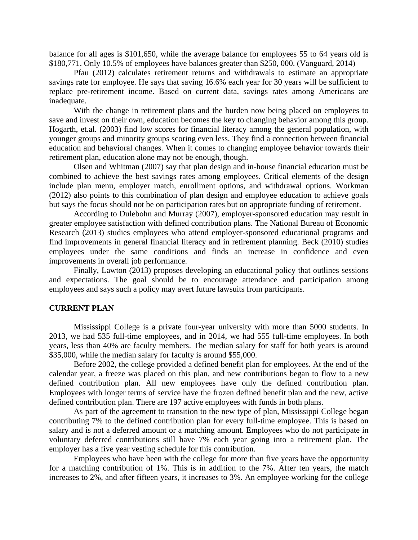balance for all ages is \$101,650, while the average balance for employees 55 to 64 years old is \$180,771. Only 10.5% of employees have balances greater than \$250, 000. (Vanguard, 2014)

Pfau (2012) calculates retirement returns and withdrawals to estimate an appropriate savings rate for employee. He says that saving 16.6% each year for 30 years will be sufficient to replace pre-retirement income. Based on current data, savings rates among Americans are inadequate.

With the change in retirement plans and the burden now being placed on employees to save and invest on their own, education becomes the key to changing behavior among this group. Hogarth, et.al. (2003) find low scores for financial literacy among the general population, with younger groups and minority groups scoring even less. They find a connection between financial education and behavioral changes. When it comes to changing employee behavior towards their retirement plan, education alone may not be enough, though.

Olsen and Whitman (2007) say that plan design and in-house financial education must be combined to achieve the best savings rates among employees. Critical elements of the design include plan menu, employer match, enrollment options, and withdrawal options. Workman (2012) also points to this combination of plan design and employee education to achieve goals but says the focus should not be on participation rates but on appropriate funding of retirement.

According to Dulebohn and Murray (2007), employer-sponsored education may result in greater employee satisfaction with defined contribution plans. The National Bureau of Economic Research (2013) studies employees who attend employer-sponsored educational programs and find improvements in general financial literacy and in retirement planning. Beck (2010) studies employees under the same conditions and finds an increase in confidence and even improvements in overall job performance.

Finally, Lawton (2013) proposes developing an educational policy that outlines sessions and expectations. The goal should be to encourage attendance and participation among employees and says such a policy may avert future lawsuits from participants.

# **CURRENT PLAN**

Mississippi College is a private four-year university with more than 5000 students. In 2013, we had 535 full-time employees, and in 2014, we had 555 full-time employees. In both years, less than 40% are faculty members. The median salary for staff for both years is around \$35,000, while the median salary for faculty is around \$55,000.

Before 2002, the college provided a defined benefit plan for employees. At the end of the calendar year, a freeze was placed on this plan, and new contributions began to flow to a new defined contribution plan. All new employees have only the defined contribution plan. Employees with longer terms of service have the frozen defined benefit plan and the new, active defined contribution plan. There are 197 active employees with funds in both plans.

 As part of the agreement to transition to the new type of plan, Mississippi College began contributing 7% to the defined contribution plan for every full-time employee. This is based on salary and is not a deferred amount or a matching amount. Employees who do not participate in voluntary deferred contributions still have 7% each year going into a retirement plan. The employer has a five year vesting schedule for this contribution.

 Employees who have been with the college for more than five years have the opportunity for a matching contribution of 1%. This is in addition to the 7%. After ten years, the match increases to 2%, and after fifteen years, it increases to 3%. An employee working for the college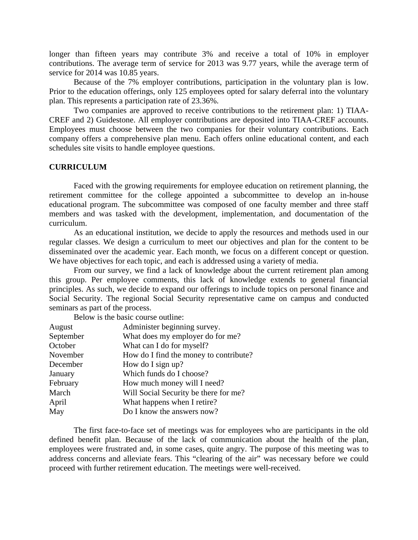longer than fifteen years may contribute 3% and receive a total of 10% in employer contributions. The average term of service for 2013 was 9.77 years, while the average term of service for 2014 was 10.85 years.

 Because of the 7% employer contributions, participation in the voluntary plan is low. Prior to the education offerings, only 125 employees opted for salary deferral into the voluntary plan. This represents a participation rate of 23.36%.

 Two companies are approved to receive contributions to the retirement plan: 1) TIAA-CREF and 2) Guidestone. All employer contributions are deposited into TIAA-CREF accounts. Employees must choose between the two companies for their voluntary contributions. Each company offers a comprehensive plan menu. Each offers online educational content, and each schedules site visits to handle employee questions.

### **CURRICULUM**

Faced with the growing requirements for employee education on retirement planning, the retirement committee for the college appointed a subcommittee to develop an in-house educational program. The subcommittee was composed of one faculty member and three staff members and was tasked with the development, implementation, and documentation of the curriculum.

As an educational institution, we decide to apply the resources and methods used in our regular classes. We design a curriculum to meet our objectives and plan for the content to be disseminated over the academic year. Each month, we focus on a different concept or question. We have objectives for each topic, and each is addressed using a variety of media.

From our survey, we find a lack of knowledge about the current retirement plan among this group. Per employee comments, this lack of knowledge extends to general financial principles. As such, we decide to expand our offerings to include topics on personal finance and Social Security. The regional Social Security representative came on campus and conducted seminars as part of the process.

Below is the basic course outline:

| August    | Administer beginning survey.           |
|-----------|----------------------------------------|
| September | What does my employer do for me?       |
| October   | What can I do for myself?              |
| November  | How do I find the money to contribute? |
| December  | How do I sign up?                      |
| January   | Which funds do I choose?               |
| February  | How much money will I need?            |
| March     | Will Social Security be there for me?  |
| April     | What happens when I retire?            |
| May       | Do I know the answers now?             |

The first face-to-face set of meetings was for employees who are participants in the old defined benefit plan. Because of the lack of communication about the health of the plan, employees were frustrated and, in some cases, quite angry. The purpose of this meeting was to address concerns and alleviate fears. This "clearing of the air" was necessary before we could proceed with further retirement education. The meetings were well-received.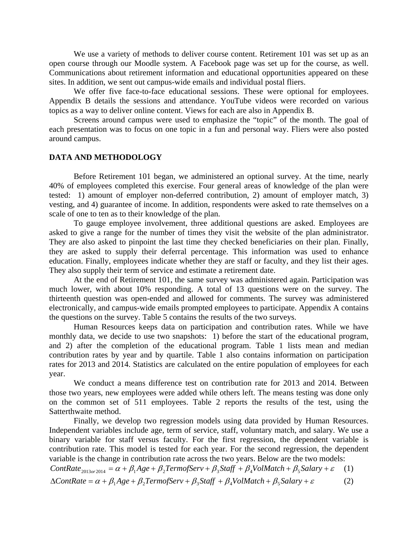We use a variety of methods to deliver course content. Retirement 101 was set up as an open course through our Moodle system. A Facebook page was set up for the course, as well. Communications about retirement information and educational opportunities appeared on these sites. In addition, we sent out campus-wide emails and individual postal fliers.

We offer five face-to-face educational sessions. These were optional for employees. Appendix B details the sessions and attendance. YouTube videos were recorded on various topics as a way to deliver online content. Views for each are also in Appendix B.

 Screens around campus were used to emphasize the "topic" of the month. The goal of each presentation was to focus on one topic in a fun and personal way. Fliers were also posted around campus.

# **DATA AND METHODOLOGY**

Before Retirement 101 began, we administered an optional survey. At the time, nearly 40% of employees completed this exercise. Four general areas of knowledge of the plan were tested: 1) amount of employer non-deferred contribution, 2) amount of employer match, 3) vesting, and 4) guarantee of income. In addition, respondents were asked to rate themselves on a scale of one to ten as to their knowledge of the plan.

To gauge employee involvement, three additional questions are asked. Employees are asked to give a range for the number of times they visit the website of the plan administrator. They are also asked to pinpoint the last time they checked beneficiaries on their plan. Finally, they are asked to supply their deferral percentage. This information was used to enhance education. Finally, employees indicate whether they are staff or faculty, and they list their ages. They also supply their term of service and estimate a retirement date.

At the end of Retirement 101, the same survey was administered again. Participation was much lower, with about 10% responding. A total of 13 questions were on the survey. The thirteenth question was open-ended and allowed for comments. The survey was administered electronically, and campus-wide emails prompted employees to participate. Appendix A contains the questions on the survey. Table 5 contains the results of the two surveys.

Human Resources keeps data on participation and contribution rates. While we have monthly data, we decide to use two snapshots: 1) before the start of the educational program, and 2) after the completion of the educational program. Table 1 lists mean and median contribution rates by year and by quartile. Table 1 also contains information on participation rates for 2013 and 2014. Statistics are calculated on the entire population of employees for each year.

We conduct a means difference test on contribution rate for 2013 and 2014. Between those two years, new employees were added while others left. The means testing was done only on the common set of 511 employees. Table 2 reports the results of the test, using the Satterthwaite method.

Finally, we develop two regression models using data provided by Human Resources. Independent variables include age, term of service, staff, voluntary match, and salary. We use a binary variable for staff versus faculty. For the first regression, the dependent variable is contribution rate. This model is tested for each year. For the second regression, the dependent variable is the change in contribution rate across the two years. Below are the two models:

*ContRate*  $_{2013 or 2014} = \alpha + \beta_1 Age + \beta_2 TermofServ + \beta_3 Staff + \beta_4 VolumeAtch + \beta_5 salary + \varepsilon$  (1)  $\Delta$ *ContRate* =  $\alpha + \beta_1 A g e + \beta_2 Termof$ *Serv* +  $\beta_3$ *Staff* +  $\beta_4$ *VolMatch* +  $\beta_5$ *Salary* +  $\varepsilon$  (2)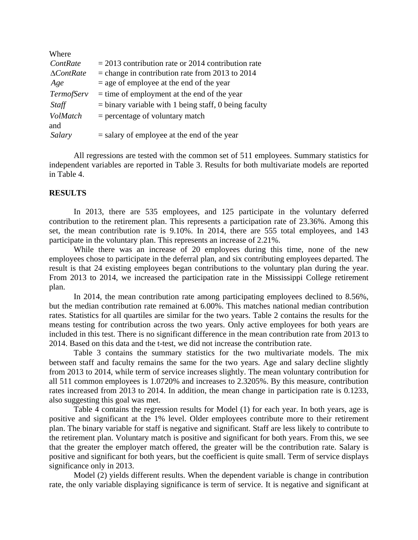| Where                  |                                                         |
|------------------------|---------------------------------------------------------|
| ContRate               | $= 2013$ contribution rate or 2014 contribution rate    |
| $\Delta ContRate$      | $=$ change in contribution rate from 2013 to 2014       |
| Age                    | $=$ age of employee at the end of the year              |
| <i>TermofServ</i>      | $=$ time of employment at the end of the year           |
| Staff                  | $=$ binary variable with 1 being staff, 0 being faculty |
| <b>VolMatch</b><br>and | $=$ percentage of voluntary match                       |
| Salary                 | $=$ salary of employee at the end of the year           |

All regressions are tested with the common set of 511 employees. Summary statistics for independent variables are reported in Table 3. Results for both multivariate models are reported in Table 4.

## **RESULTS**

In 2013, there are 535 employees, and 125 participate in the voluntary deferred contribution to the retirement plan. This represents a participation rate of 23.36%. Among this set, the mean contribution rate is 9.10%. In 2014, there are 555 total employees, and 143 participate in the voluntary plan. This represents an increase of 2.21%.

While there was an increase of 20 employees during this time, none of the new employees chose to participate in the deferral plan, and six contributing employees departed. The result is that 24 existing employees began contributions to the voluntary plan during the year. From 2013 to 2014, we increased the participation rate in the Mississippi College retirement plan.

In 2014, the mean contribution rate among participating employees declined to 8.56%, but the median contribution rate remained at 6.00%. This matches national median contribution rates. Statistics for all quartiles are similar for the two years. Table 2 contains the results for the means testing for contribution across the two years. Only active employees for both years are included in this test. There is no significant difference in the mean contribution rate from 2013 to 2014. Based on this data and the t-test, we did not increase the contribution rate.

Table 3 contains the summary statistics for the two multivariate models. The mix between staff and faculty remains the same for the two years. Age and salary decline slightly from 2013 to 2014, while term of service increases slightly. The mean voluntary contribution for all 511 common employees is 1.0720% and increases to 2.3205%. By this measure, contribution rates increased from 2013 to 2014. In addition, the mean change in participation rate is 0.1233, also suggesting this goal was met.

Table 4 contains the regression results for Model (1) for each year. In both years, age is positive and significant at the 1% level. Older employees contribute more to their retirement plan. The binary variable for staff is negative and significant. Staff are less likely to contribute to the retirement plan. Voluntary match is positive and significant for both years. From this, we see that the greater the employer match offered, the greater will be the contribution rate. Salary is positive and significant for both years, but the coefficient is quite small. Term of service displays significance only in 2013.

Model (2) yields different results. When the dependent variable is change in contribution rate, the only variable displaying significance is term of service. It is negative and significant at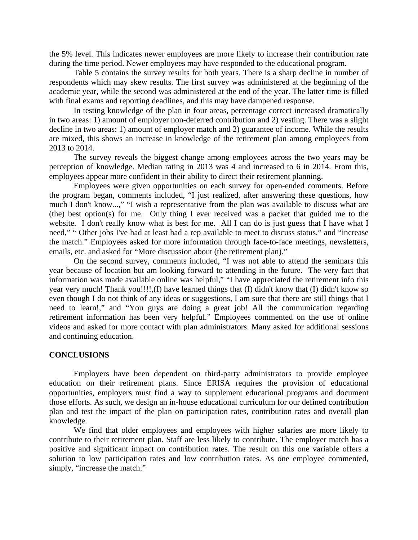the 5% level. This indicates newer employees are more likely to increase their contribution rate during the time period. Newer employees may have responded to the educational program.

Table 5 contains the survey results for both years. There is a sharp decline in number of respondents which may skew results. The first survey was administered at the beginning of the academic year, while the second was administered at the end of the year. The latter time is filled with final exams and reporting deadlines, and this may have dampened response.

In testing knowledge of the plan in four areas, percentage correct increased dramatically in two areas: 1) amount of employer non-deferred contribution and 2) vesting. There was a slight decline in two areas: 1) amount of employer match and 2) guarantee of income. While the results are mixed, this shows an increase in knowledge of the retirement plan among employees from 2013 to 2014.

The survey reveals the biggest change among employees across the two years may be perception of knowledge. Median rating in 2013 was 4 and increased to 6 in 2014. From this, employees appear more confident in their ability to direct their retirement planning.

Employees were given opportunities on each survey for open-ended comments. Before the program began, comments included, "I just realized, after answering these questions, how much I don't know...," "I wish a representative from the plan was available to discuss what are (the) best option(s) for me. Only thing I ever received was a packet that guided me to the website. I don't really know what is best for me. All I can do is just guess that I have what I need," " Other jobs I've had at least had a rep available to meet to discuss status," and "increase the match." Employees asked for more information through face-to-face meetings, newsletters, emails, etc. and asked for "More discussion about (the retirement plan)."

On the second survey, comments included, "I was not able to attend the seminars this year because of location but am looking forward to attending in the future. The very fact that information was made available online was helpful," "I have appreciated the retirement info this year very much! Thank you!!!!,(I) have learned things that (I) didn't know that (I) didn't know so even though I do not think of any ideas or suggestions, I am sure that there are still things that I need to learn!," and "You guys are doing a great job! All the communication regarding retirement information has been very helpful." Employees commented on the use of online videos and asked for more contact with plan administrators. Many asked for additional sessions and continuing education.

### **CONCLUSIONS**

 Employers have been dependent on third-party administrators to provide employee education on their retirement plans. Since ERISA requires the provision of educational opportunities, employers must find a way to supplement educational programs and document those efforts. As such, we design an in-house educational curriculum for our defined contribution plan and test the impact of the plan on participation rates, contribution rates and overall plan knowledge.

 We find that older employees and employees with higher salaries are more likely to contribute to their retirement plan. Staff are less likely to contribute. The employer match has a positive and significant impact on contribution rates. The result on this one variable offers a solution to low participation rates and low contribution rates. As one employee commented, simply, "increase the match."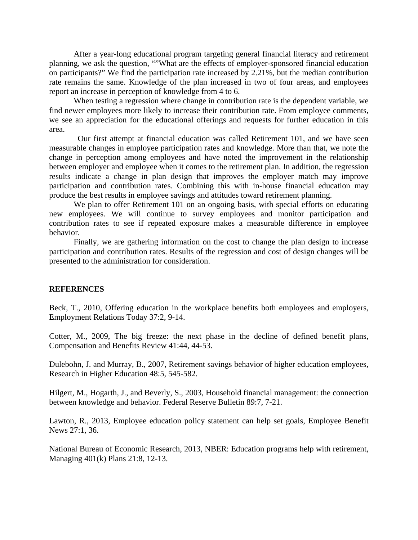After a year-long educational program targeting general financial literacy and retirement planning, we ask the question, ""What are the effects of employer-sponsored financial education on participants?" We find the participation rate increased by 2.21%, but the median contribution rate remains the same. Knowledge of the plan increased in two of four areas, and employees report an increase in perception of knowledge from 4 to 6.

When testing a regression where change in contribution rate is the dependent variable, we find newer employees more likely to increase their contribution rate. From employee comments, we see an appreciation for the educational offerings and requests for further education in this area.

 Our first attempt at financial education was called Retirement 101, and we have seen measurable changes in employee participation rates and knowledge. More than that, we note the change in perception among employees and have noted the improvement in the relationship between employer and employee when it comes to the retirement plan. In addition, the regression results indicate a change in plan design that improves the employer match may improve participation and contribution rates. Combining this with in-house financial education may produce the best results in employee savings and attitudes toward retirement planning.

We plan to offer Retirement 101 on an ongoing basis, with special efforts on educating new employees. We will continue to survey employees and monitor participation and contribution rates to see if repeated exposure makes a measurable difference in employee behavior.

Finally, we are gathering information on the cost to change the plan design to increase participation and contribution rates. Results of the regression and cost of design changes will be presented to the administration for consideration.

#### **REFERENCES**

Beck, T., 2010, Offering education in the workplace benefits both employees and employers, Employment Relations Today 37:2, 9-14.

Cotter, M., 2009, The big freeze: the next phase in the decline of defined benefit plans, Compensation and Benefits Review 41:44, 44-53.

Dulebohn, J. and Murray, B., 2007, Retirement savings behavior of higher education employees, Research in Higher Education 48:5, 545-582.

Hilgert, M., Hogarth, J., and Beverly, S., 2003, Household financial management: the connection between knowledge and behavior. Federal Reserve Bulletin 89:7, 7-21.

Lawton, R., 2013, Employee education policy statement can help set goals, Employee Benefit News 27:1, 36.

National Bureau of Economic Research, 2013, NBER: Education programs help with retirement, Managing 401(k) Plans 21:8, 12-13.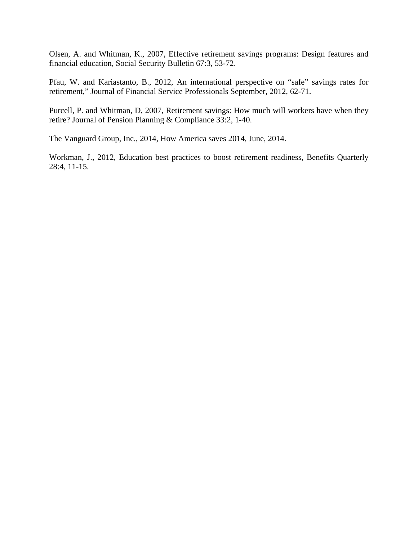Olsen, A. and Whitman, K., 2007, Effective retirement savings programs: Design features and financial education, Social Security Bulletin 67:3, 53-72.

Pfau, W. and Kariastanto, B., 2012, An international perspective on "safe" savings rates for retirement," Journal of Financial Service Professionals September, 2012, 62-71.

Purcell, P. and Whitman, D, 2007, Retirement savings: How much will workers have when they retire? Journal of Pension Planning & Compliance 33:2, 1-40.

The Vanguard Group, Inc., 2014, How America saves 2014, June, 2014.

Workman, J., 2012, Education best practices to boost retirement readiness, Benefits Quarterly 28:4, 11-15.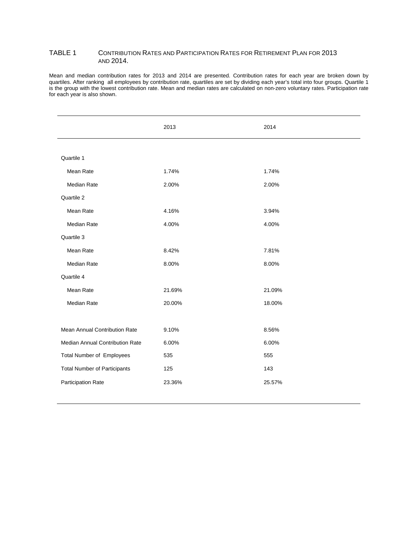#### TABLE 1 CONTRIBUTION RATES AND PARTICIPATION RATES FOR RETIREMENT PLAN FOR 2013 AND 2014.

Mean and median contribution rates for 2013 and 2014 are presented. Contribution rates for each year are broken down by quartiles. After ranking all employees by contribution rate, quartiles are set by dividing each year's total into four groups. Quartile 1 is the group with the lowest contribution rate. Mean and median rates are calculated on non-zero voluntary rates. Participation rate for each year is also shown.

|                                     | 2013   | 2014   |
|-------------------------------------|--------|--------|
|                                     |        |        |
| Quartile 1                          |        |        |
| Mean Rate                           | 1.74%  | 1.74%  |
| Median Rate                         | 2.00%  | 2.00%  |
| Quartile 2                          |        |        |
| Mean Rate                           | 4.16%  | 3.94%  |
| Median Rate                         | 4.00%  | 4.00%  |
| Quartile 3                          |        |        |
| Mean Rate                           | 8.42%  | 7.81%  |
| Median Rate                         | 8.00%  | 8.00%  |
| Quartile 4                          |        |        |
| Mean Rate                           | 21.69% | 21.09% |
| Median Rate                         | 20.00% | 18.00% |
|                                     |        |        |
| Mean Annual Contribution Rate       | 9.10%  | 8.56%  |
| Median Annual Contribution Rate     | 6.00%  | 6.00%  |
| <b>Total Number of Employees</b>    | 535    | 555    |
| <b>Total Number of Participants</b> | 125    | 143    |
| Participation Rate                  | 23.36% | 25.57% |
|                                     |        |        |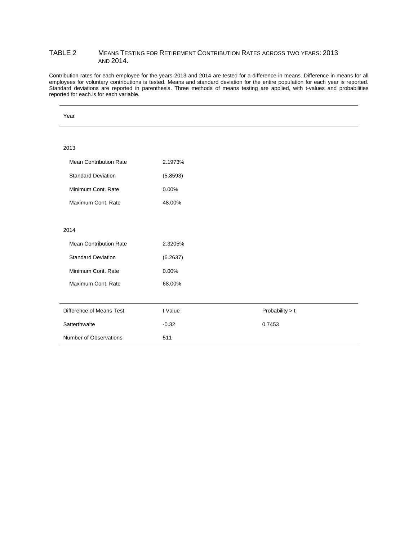#### TABLE 2 MEANS TESTING FOR RETIREMENT CONTRIBUTION RATES ACROSS TWO YEARS: 2013 AND 2014.

Contribution rates for each employee for the years 2013 and 2014 are tested for a difference in means. Difference in means for all employees for voluntary contributions is tested. Means and standard deviation for the entire population for each year is reported. Standard deviations are reported in parenthesis. Three methods of means testing are applied, with t-values and probabilities reported for each.is for each variable.

| Year                          |          |                 |
|-------------------------------|----------|-----------------|
|                               |          |                 |
| 2013                          |          |                 |
| <b>Mean Contribution Rate</b> | 2.1973%  |                 |
| <b>Standard Deviation</b>     | (5.8593) |                 |
| Minimum Cont. Rate            | 0.00%    |                 |
| Maximum Cont. Rate            | 48.00%   |                 |
|                               |          |                 |
| 2014                          |          |                 |
| <b>Mean Contribution Rate</b> | 2.3205%  |                 |
| <b>Standard Deviation</b>     | (6.2637) |                 |
| Minimum Cont. Rate            | 0.00%    |                 |
| Maximum Cont. Rate            | 68.00%   |                 |
|                               |          |                 |
| Difference of Means Test      | t Value  | Probability > t |
| Satterthwaite                 | $-0.32$  | 0.7453          |
| Number of Observations        | 511      |                 |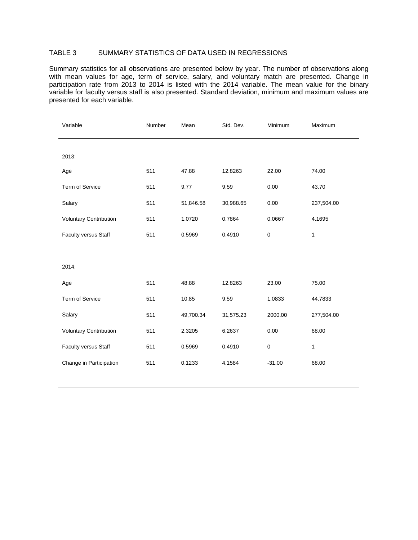## TABLE 3 SUMMARY STATISTICS OF DATA USED IN REGRESSIONS

Summary statistics for all observations are presented below by year. The number of observations along with mean values for age, term of service, salary, and voluntary match are presented. Change in participation rate from 2013 to 2014 is listed with the 2014 variable. The mean value for the binary variable for faculty versus staff is also presented. Standard deviation, minimum and maximum values are presented for each variable.

| Variable                      | Number | Mean      | Std. Dev. | Minimum   | Maximum      |
|-------------------------------|--------|-----------|-----------|-----------|--------------|
|                               |        |           |           |           |              |
| 2013:                         |        |           |           |           |              |
| Age                           | 511    | 47.88     | 12.8263   | 22.00     | 74.00        |
| Term of Service               | 511    | 9.77      | 9.59      | 0.00      | 43.70        |
| Salary                        | 511    | 51,846.58 | 30,988.65 | 0.00      | 237,504.00   |
| <b>Voluntary Contribution</b> | 511    | 1.0720    | 0.7864    | 0.0667    | 4.1695       |
| Faculty versus Staff          | 511    | 0.5969    | 0.4910    | $\pmb{0}$ | 1            |
|                               |        |           |           |           |              |
| 2014:                         |        |           |           |           |              |
| Age                           | 511    | 48.88     | 12.8263   | 23.00     | 75.00        |
| Term of Service               | 511    | 10.85     | 9.59      | 1.0833    | 44.7833      |
| Salary                        | 511    | 49,700.34 | 31,575.23 | 2000.00   | 277,504.00   |
| <b>Voluntary Contribution</b> | 511    | 2.3205    | 6.2637    | 0.00      | 68.00        |
| Faculty versus Staff          | 511    | 0.5969    | 0.4910    | 0         | $\mathbf{1}$ |
| Change in Participation       | 511    | 0.1233    | 4.1584    | $-31.00$  | 68.00        |
|                               |        |           |           |           |              |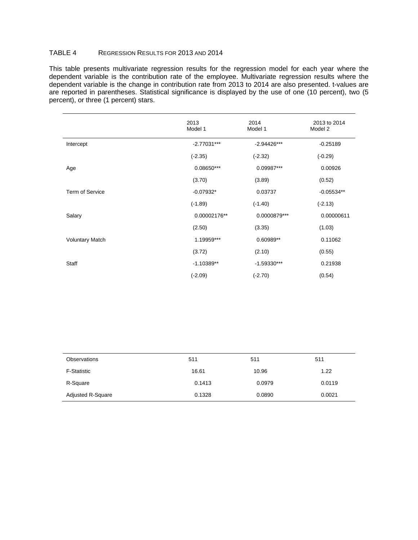## TABLE 4 REGRESSION RESULTS FOR 2013 AND 2014

This table presents multivariate regression results for the regression model for each year where the dependent variable is the contribution rate of the employee. Multivariate regression results where the dependent variable is the change in contribution rate from 2013 to 2014 are also presented. t-values are are reported in parentheses. Statistical significance is displayed by the use of one (10 percent), two (5 percent), or three (1 percent) stars.

|                        | 2013<br>Model 1 | 2014<br>Model 1 | 2013 to 2014<br>Model 2 |
|------------------------|-----------------|-----------------|-------------------------|
| Intercept              | $-2.77031***$   | $-2.94426***$   | $-0.25189$              |
|                        | $(-2.35)$       | $(-2.32)$       | $(-0.29)$               |
| Age                    | 0.08650***      | 0.09987***      | 0.00926                 |
|                        | (3.70)          | (3.89)          | (0.52)                  |
| <b>Term of Service</b> | $-0.07932*$     | 0.03737         | $-0.05534**$            |
|                        | $(-1.89)$       | $(-1.40)$       | $(-2.13)$               |
| Salary                 | 0.00002176**    | 0.0000879***    | 0.00000611              |
|                        | (2.50)          | (3.35)          | (1.03)                  |
| <b>Voluntary Match</b> | 1.19959***      | 0.60989**       | 0.11062                 |
|                        | (3.72)          | (2.10)          | (0.55)                  |
| Staff                  | $-1.10389**$    | $-1.59330***$   | 0.21938                 |
|                        | $(-2.09)$       | $(-2.70)$       | (0.54)                  |

| Observations             | 511    | 511    | 511    |
|--------------------------|--------|--------|--------|
| <b>F-Statistic</b>       | 16.61  | 10.96  | 1.22   |
| R-Square                 | 0.1413 | 0.0979 | 0.0119 |
| <b>Adjusted R-Square</b> | 0.1328 | 0.0890 | 0.0021 |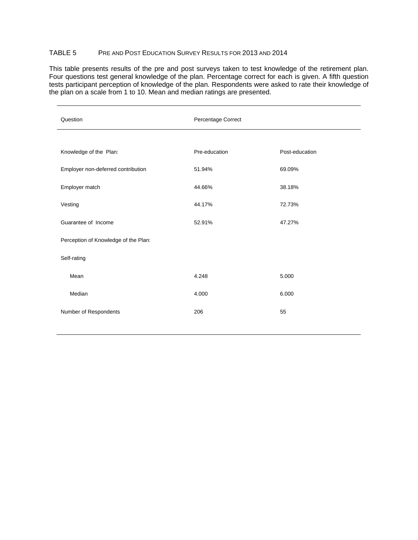## TABLE 5 PRE AND POST EDUCATION SURVEY RESULTS FOR 2013 AND 2014

This table presents results of the pre and post surveys taken to test knowledge of the retirement plan. Four questions test general knowledge of the plan. Percentage correct for each is given. A fifth question tests participant perception of knowledge of the plan. Respondents were asked to rate their knowledge of the plan on a scale from 1 to 10. Mean and median ratings are presented.

| Question                             | Percentage Correct |                |  |
|--------------------------------------|--------------------|----------------|--|
|                                      |                    |                |  |
| Knowledge of the Plan:               | Pre-education      | Post-education |  |
| Employer non-deferred contribution   | 51.94%             | 69.09%         |  |
| Employer match                       | 44.66%             | 38.18%         |  |
| Vesting                              | 44.17%             | 72.73%         |  |
| Guarantee of Income                  | 52.91%             | 47.27%         |  |
| Perception of Knowledge of the Plan: |                    |                |  |
| Self-rating                          |                    |                |  |
| Mean                                 | 4.248              | 5.000          |  |
| Median                               | 4.000              | 6.000          |  |
| Number of Respondents                | 206                | 55             |  |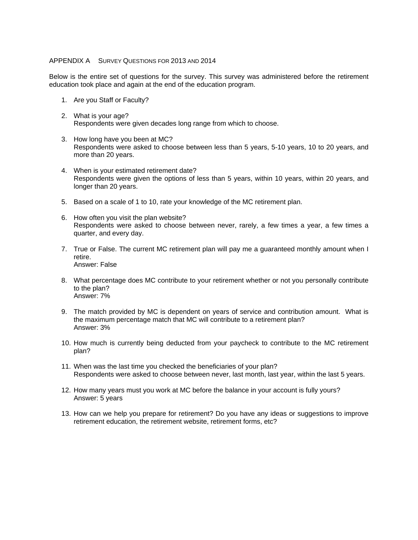#### APPENDIX A SURVEY QUESTIONS FOR 2013 AND 2014

Below is the entire set of questions for the survey. This survey was administered before the retirement education took place and again at the end of the education program.

- 1. Are you Staff or Faculty?
- 2. What is your age? Respondents were given decades long range from which to choose.
- 3. How long have you been at MC? Respondents were asked to choose between less than 5 years, 5-10 years, 10 to 20 years, and more than 20 years.
- 4. When is your estimated retirement date? Respondents were given the options of less than 5 years, within 10 years, within 20 years, and longer than 20 years.
- 5. Based on a scale of 1 to 10, rate your knowledge of the MC retirement plan.
- 6. How often you visit the plan website? Respondents were asked to choose between never, rarely, a few times a year, a few times a quarter, and every day.
- 7. True or False. The current MC retirement plan will pay me a guaranteed monthly amount when I retire. Answer: False
- 8. What percentage does MC contribute to your retirement whether or not you personally contribute to the plan? Answer: 7%
- 9. The match provided by MC is dependent on years of service and contribution amount. What is the maximum percentage match that MC will contribute to a retirement plan? Answer: 3%
- 10. How much is currently being deducted from your paycheck to contribute to the MC retirement plan?
- 11. When was the last time you checked the beneficiaries of your plan? Respondents were asked to choose between never, last month, last year, within the last 5 years.
- 12. How many years must you work at MC before the balance in your account is fully yours? Answer: 5 years
- 13. How can we help you prepare for retirement? Do you have any ideas or suggestions to improve retirement education, the retirement website, retirement forms, etc?